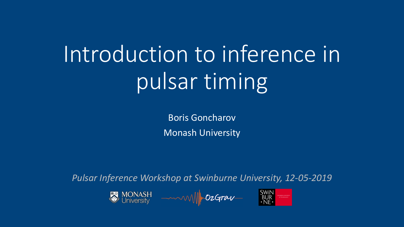# Introduction to inference in pulsar timing

Boris Goncharov **Monash University** 

Pulsar Inference Workshop at Swinburne University, 12-05-2019

MONASH — William SWIN<br>University — William DzGrav BUR BUR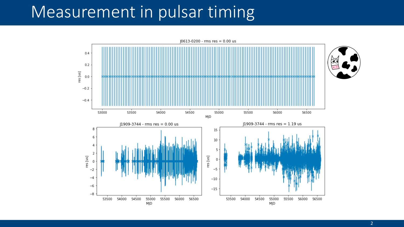### Measurement in pulsar timing

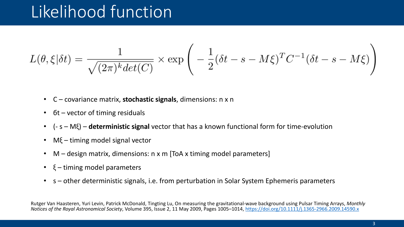## Likelihood function

$$
L(\theta, \xi | \delta t) = \frac{1}{\sqrt{(2\pi)^k \det(C)}} \times \exp\left(-\frac{1}{2}(\delta t - s - M\xi)^T C^{-1} (\delta t - s - M\xi)\right)
$$

- C covariance matrix, **stochastic signals**, dimensions: n x n
- $6t$  vector of timing residuals
- (- s – Mξ) – **deterministic signal** vector that has a known functional form for time-evolution
- $M\xi$  timing model signal vector
- $M$  design matrix, dimensions: n x m [ToA x timing model parameters]
- $\xi$  timing model parameters
- s other deterministic signals, i.e. from perturbation in Solar System Ephemeris parameters

Rutger Van Haasteren, Yuri Levin, Patrick McDonald, Tingting Lu, On measuring the gravitational-wave background using Pulsar Timing Arrays, Monthly *Notices of the Royal Astronomical Society, Volume 395, Issue 2, 11 May 2009, Pages 1005–1014, https://doi.org/10.1111/j.1365-2966.2009.14590.x*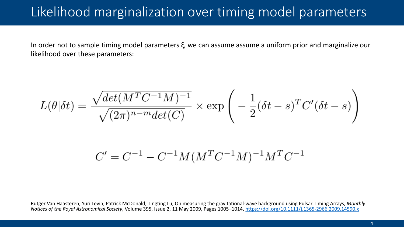### Likelihood marginalization over timing model parameters

In order not to sample timing model parameters  $\xi$ , we can assume assume a uniform prior and marginalize our likelihood over these parameters:

$$
L(\theta|\delta t) = \frac{\sqrt{det(M^TC^{-1}M)^{-1}}}{\sqrt{(2\pi)^{n-m}det(C)}} \times \exp\left(-\frac{1}{2}(\delta t - s)^TC'(\delta t - s)\right)
$$

$$
C' = C^{-1} - C^{-1}M(M^TC^{-1}M)^{-1}M^TC^{-1}
$$

Rutger Van Haasteren, Yuri Levin, Patrick McDonald, Tingting Lu, On measuring the gravitational-wave background using Pulsar Timing Arrays, Monthly *Notices of the Royal Astronomical Society*, Volume 395, Issue 2, 11 May 2009, Pages 1005–1014, https://doi.org/10.1111/j.1365-2966.2009.14590.x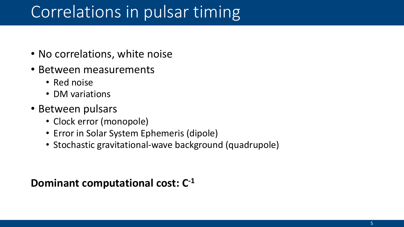## Correlations in pulsar timing

- No correlations, white noise
- Between measurements
	- Red noise
	- DM variations
- Between pulsars
	- Clock error (monopole)
	- Error in Solar System Ephemeris (dipole)
	- Stochastic gravitational-wave background (quadrupole)

#### **Dominant computational cost: C<sup>-1</sup>**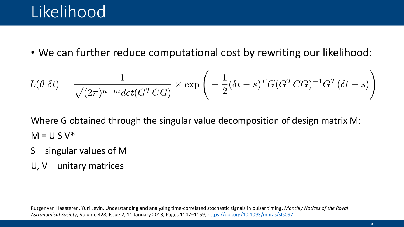### Likelihood

• We can further reduce computational cost by rewriting our likelihood:

$$
L(\theta|\delta t) = \frac{1}{\sqrt{(2\pi)^{n-m} \det(G^T C G)}} \times \exp\left(-\frac{1}{2}(\delta t - s)^T G(G^T C G)^{-1} G^T (\delta t - s)\right)
$$

Where G obtained through the singular value decomposition of design matrix M:  $M = U S V^*$ 

- $S$  singular values of M
- U,  $V$  unitary matrices

Rutger van Haasteren, Yuri Levin, Understanding and analysing time-correlated stochastic signals in pulsar timing, *Monthly Notices of the Royal Astronomical Society*, Volume 428, Issue 2, 11 January 2013, Pages 1147–1159, https://doi.org/10.1093/mnras/sts097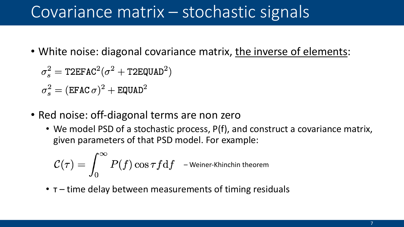### Covariance matrix – stochastic signals

- White noise: diagonal covariance matrix, the inverse of elements:
	- $\sigma_s^2 = \text{T2EFAC}^2(\sigma^2 + \text{T2EQUAD}^2)$
	- $\sigma_s^2 = (EFAC \sigma)^2 + EQUAD^2$
- Red noise: off-diagonal terms are non zero
	- We model PSD of a stochastic process, P(f), and construct a covariance matrix, given parameters of that PSD model. For example:

$$
\mathcal{C}(\tau) = \int_0^\infty P(f) \cos \tau f \mathrm{d} f \quad \textnormal{–Weiner-Khinchin theorem}
$$

•  $\tau$  – time delay between measurements of timing residuals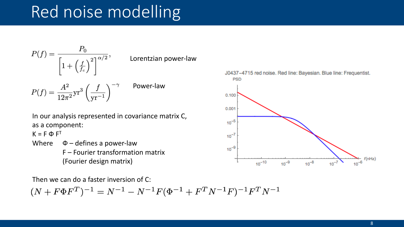## Red noise modelling



Lorentzian power-law

Power-law

 $P(f)=\frac{A^2}{12\pi^2}{\rm yr}^3\left(\frac{f}{{\rm yr}^{-1}}\right)^{-\gamma}$ 

In our analysis represented in covariance matrix C, as a component:

 $K = F \Phi F^{T}$ 

Where  $\Phi$  – defines a power-law  $F$  – Fourier transformation matrix (Fourier design matrix)

Then we can do a faster inversion of  $C$ :

$$
(N + F\Phi F^T)^{-1} = N^{-1} - N^{-1}F(\Phi^{-1} + F^TN^{-1}F)^{-1}F^TN^{-1}
$$